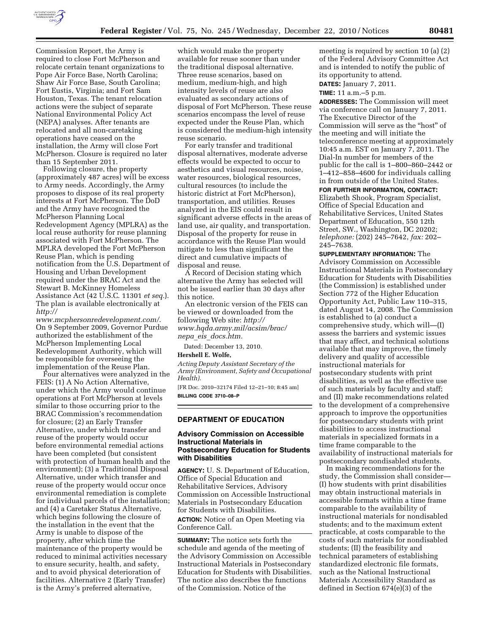

Commission Report, the Army is required to close Fort McPherson and relocate certain tenant organizations to Pope Air Force Base, North Carolina; Shaw Air Force Base, South Carolina; Fort Eustis, Virginia; and Fort Sam Houston, Texas. The tenant relocation actions were the subject of separate National Environmental Policy Act (NEPA) analyses. After tenants are relocated and all non-caretaking operations have ceased on the installation, the Army will close Fort McPherson. Closure is required no later than 15 September 2011.

Following closure, the property (approximately 487 acres) will be excess to Army needs. Accordingly, the Army proposes to dispose of its real property interests at Fort McPherson. The DoD and the Army have recognized the McPherson Planning Local Redevelopment Agency (MPLRA) as the local reuse authority for reuse planning associated with Fort McPherson. The MPLRA developed the Fort McPherson Reuse Plan, which is pending notification from the U.S. Department of Housing and Urban Development required under the BRAC Act and the Stewart B. McKinney Homeless Assistance Act (42 U.S.C. 11301 *et seq.*). The plan is available electronically at *[http://](http://www.mcphersonredevelopment.com/)* 

*[www.mcphersonredevelopment.com/](http://www.mcphersonredevelopment.com/)*. On 9 September 2009, Governor Purdue authorized the establishment of the McPherson Implementing Local Redevelopment Authority, which will be responsible for overseeing the implementation of the Reuse Plan.

Four alternatives were analyzed in the FEIS: (1) A No Action Alternative, under which the Army would continue operations at Fort McPherson at levels similar to those occurring prior to the BRAC Commission's recommendation for closure; (2) an Early Transfer Alternative, under which transfer and reuse of the property would occur before environmental remedial actions have been completed (but consistent with protection of human health and the environment); (3) a Traditional Disposal Alternative, under which transfer and reuse of the property would occur once environmental remediation is complete for individual parcels of the installation; and (4) a Caretaker Status Alternative, which begins following the closure of the installation in the event that the Army is unable to dispose of the property, after which time the maintenance of the property would be reduced to minimal activities necessary to ensure security, health, and safety, and to avoid physical deterioration of facilities. Alternative 2 (Early Transfer) is the Army's preferred alternative,

which would make the property available for reuse sooner than under the traditional disposal alternative. Three reuse scenarios, based on medium, medium-high, and high intensity levels of reuse are also evaluated as secondary actions of disposal of Fort McPherson. These reuse scenarios encompass the level of reuse expected under the Reuse Plan, which is considered the medium-high intensity reuse scenario.

For early transfer and traditional disposal alternatives, moderate adverse effects would be expected to occur to aesthetics and visual resources, noise, water resources, biological resources, cultural resources (to include the historic district at Fort McPherson), transportation, and utilities. Reuses analyzed in the EIS could result in significant adverse effects in the areas of land use, air quality, and transportation. Disposal of the property for reuse in accordance with the Reuse Plan would mitigate to less than significant the direct and cumulative impacts of disposal and reuse.

A Record of Decision stating which alternative the Army has selected will not be issued earlier than 30 days after this notice.

An electronic version of the FEIS can be viewed or downloaded from the following Web site: *[http://](http://www.hqda.army.mil/acsim/brac/nepa_eis_docs.htm)  [www.hqda.army.mil/acsim/brac/](http://www.hqda.army.mil/acsim/brac/nepa_eis_docs.htm)  nepa*\_*eis*\_*[docs.htm.](http://www.hqda.army.mil/acsim/brac/nepa_eis_docs.htm)* 

Dated: December 13, 2010.

# **Hershell E. Wolfe,**

*Acting Deputy Assistant Secretary of the Army (Environment, Safety and Occupational Health).* 

[FR Doc. 2010–32174 Filed 12–21–10; 8:45 am] **BILLING CODE 3710–08–P** 

## **DEPARTMENT OF EDUCATION**

# **Advisory Commission on Accessible Instructional Materials in Postsecondary Education for Students with Disabilities**

**AGENCY:** U. S. Department of Education, Office of Special Education and Rehabilitative Services, Advisory Commission on Accessible Instructional Materials in Postsecondary Education for Students with Disabilities. **ACTION:** Notice of an Open Meeting via Conference Call.

**SUMMARY:** The notice sets forth the schedule and agenda of the meeting of the Advisory Commission on Accessible Instructional Materials in Postsecondary Education for Students with Disabilities. The notice also describes the functions of the Commission. Notice of the

meeting is required by section 10 (a) (2) of the Federal Advisory Committee Act and is intended to notify the public of its opportunity to attend.

**DATES:** January 7, 2011.

**TIME:** 11 a.m.–5 p.m.

**ADDRESSES:** The Commission will meet via conference call on January 7, 2011. The Executive Director of the Commission will serve as the ''host'' of the meeting and will initiate the teleconference meeting at approximately 10:45 a.m. EST on January 7, 2011. The Dial-In number for members of the public for the call is 1–800–860–2442 or 1–412–858–4600 for individuals calling in from outside of the United States.

**FOR FURTHER INFORMATION, CONTACT:**  Elizabeth Shook, Program Specialist, Office of Special Education and Rehabilitative Services, United States Department of Education, 550 12th Street, SW., Washington, DC 20202; *telephone:* (202) 245–7642, *fax:* 202– 245–7638.

**SUPPLEMENTARY INFORMATION:** The Advisory Commission on Accessible Instructional Materials in Postsecondary Education for Students with Disabilities (the Commission) is established under Section 772 of the Higher Education Opportunity Act, Public Law 110–315, dated August 14, 2008. The Commission is established to (a) conduct a comprehensive study, which will—(I) assess the barriers and systemic issues that may affect, and technical solutions available that may improve, the timely delivery and quality of accessible instructional materials for postsecondary students with print disabilities, as well as the effective use of such materials by faculty and staff; and (II) make recommendations related to the development of a comprehensive approach to improve the opportunities for postsecondary students with print disabilities to access instructional materials in specialized formats in a time frame comparable to the availability of instructional materials for postsecondary nondisabled students.

In making recommendations for the study, the Commission shall consider— (I) how students with print disabilities may obtain instructional materials in accessible formats within a time frame comparable to the availability of instructional materials for nondisabled students; and to the maximum extent practicable, at costs comparable to the costs of such materials for nondisabled students; (II) the feasibility and technical parameters of establishing standardized electronic file formats, such as the National Instructional Materials Accessibility Standard as defined in Section 674(e)(3) of the